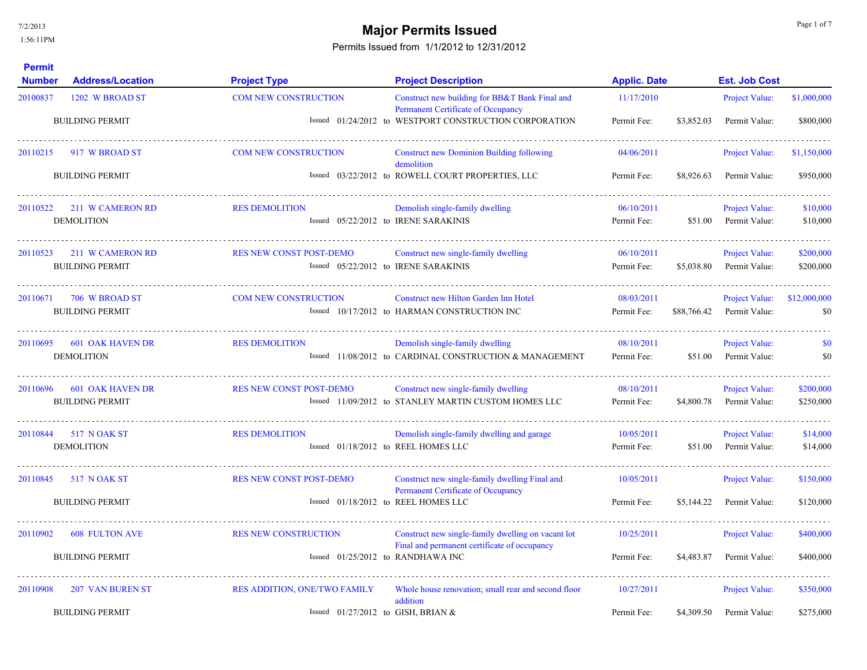## **Major Permits Issued Major Permits Issued**

| <b>Permit</b><br><b>Number</b> | <b>Address/Location</b>                           | <b>Project Type</b>                                                   | <b>Project Description</b>                                                                         | <b>Applic. Date</b>       |             | <b>Est. Job Cost</b>                   |                        |
|--------------------------------|---------------------------------------------------|-----------------------------------------------------------------------|----------------------------------------------------------------------------------------------------|---------------------------|-------------|----------------------------------------|------------------------|
| 20100837                       | 1202 W BROAD ST                                   | <b>COM NEW CONSTRUCTION</b>                                           | Construct new building for BB&T Bank Final and<br>Permanent Certificate of Occupancy               | 11/17/2010                |             | Project Value:                         | \$1,000,000            |
|                                | <b>BUILDING PERMIT</b>                            |                                                                       | Issued 01/24/2012 to WESTPORT CONSTRUCTION CORPORATION                                             | Permit Fee:               | \$3,852.03  | Permit Value:                          | \$800,000              |
| 20110215                       | 917 W BROAD ST                                    | <b>COM NEW CONSTRUCTION</b>                                           | <b>Construct new Dominion Building following</b><br>demolition                                     | 04/06/2011                |             | Project Value:                         | \$1,150,000            |
|                                | <b>BUILDING PERMIT</b>                            |                                                                       | Issued 03/22/2012 to ROWELL COURT PROPERTIES, LLC                                                  | Permit Fee:               | \$8,926.63  | Permit Value:                          | \$950,000              |
| 20110522                       | 211 W CAMERON RD<br><b>DEMOLITION</b>             | <b>RES DEMOLITION</b>                                                 | Demolish single-family dwelling<br>Issued 05/22/2012 to IRENE SARAKINIS                            | 06/10/2011<br>Permit Fee: | \$51.00     | <b>Project Value:</b><br>Permit Value: | \$10,000<br>\$10,000   |
| 20110523                       | 211 W CAMERON RD<br><b>BUILDING PERMIT</b>        | <b>RES NEW CONST POST-DEMO</b>                                        | Construct new single-family dwelling<br>Issued 05/22/2012 to IRENE SARAKINIS                       | 06/10/2011<br>Permit Fee: | \$5,038.80  | Project Value:<br>Permit Value:        | \$200,000<br>\$200,000 |
| 20110671                       | 706 W BROAD ST<br><b>BUILDING PERMIT</b>          | <b>COM NEW CONSTRUCTION</b>                                           | Construct new Hilton Garden Inn Hotel<br>Issued 10/17/2012 to HARMAN CONSTRUCTION INC              | 08/03/2011<br>Permit Fee: | \$88,766.42 | <b>Project Value:</b><br>Permit Value: | \$12,000,000<br>\$0    |
| 20110695                       | 601 OAK HAVEN DR<br><b>DEMOLITION</b>             | <b>RES DEMOLITION</b>                                                 | Demolish single-family dwelling<br>Issued 11/08/2012 to CARDINAL CONSTRUCTION & MANAGEMENT         | 08/10/2011<br>Permit Fee: | \$51.00     | Project Value:<br>Permit Value:        | \$0<br>\$0             |
| 20110696                       | <b>601 OAK HAVEN DR</b><br><b>BUILDING PERMIT</b> | <b>RES NEW CONST POST-DEMO</b>                                        | Construct new single-family dwelling<br>Issued 11/09/2012 to STANLEY MARTIN CUSTOM HOMES LLC       | 08/10/2011<br>Permit Fee: | \$4,800.78  | Project Value:<br>Permit Value:        | \$200,000<br>\$250,000 |
| 20110844                       | <b>517 NOAK ST</b><br><b>DEMOLITION</b>           | <b>RES DEMOLITION</b><br>Issued 01/18/2012 to REEL HOMES LLC          | Demolish single-family dwelling and garage                                                         | 10/05/2011<br>Permit Fee: | \$51.00     | <b>Project Value:</b><br>Permit Value: | \$14,000<br>\$14,000   |
| 20110845                       | 517 N OAK ST<br><b>BUILDING PERMIT</b>            | <b>RES NEW CONST POST-DEMO</b><br>Issued 01/18/2012 to REEL HOMES LLC | Construct new single-family dwelling Final and<br>Permanent Certificate of Occupancy               | 10/05/2011<br>Permit Fee: | \$5,144.22  | Project Value:<br>Permit Value:        | \$150,000<br>\$120,000 |
|                                |                                                   |                                                                       |                                                                                                    |                           |             |                                        |                        |
| 20110902                       | <b>608 FULTON AVE</b>                             | <b>RES NEW CONSTRUCTION</b>                                           | Construct new single-family dwelling on vacant lot<br>Final and permanent certificate of occupancy | 10/25/2011                |             | Project Value:                         | \$400,000              |
|                                | <b>BUILDING PERMIT</b>                            | Issued $01/25/2012$ to RANDHAWA INC                                   |                                                                                                    | Permit Fee:               | \$4,483.87  | Permit Value:                          | \$400,000              |
| 20110908                       | <b>207 VAN BUREN ST</b>                           | <b>RES ADDITION, ONE/TWO FAMILY</b>                                   | Whole house renovation; small rear and second floor<br>addition                                    | 10/27/2011                |             | <b>Project Value:</b>                  | \$350,000              |
|                                | <b>BUILDING PERMIT</b>                            | Issued $01/27/2012$ to GISH, BRIAN &                                  |                                                                                                    | Permit Fee:               | \$4,309.50  | Permit Value:                          | \$275,000              |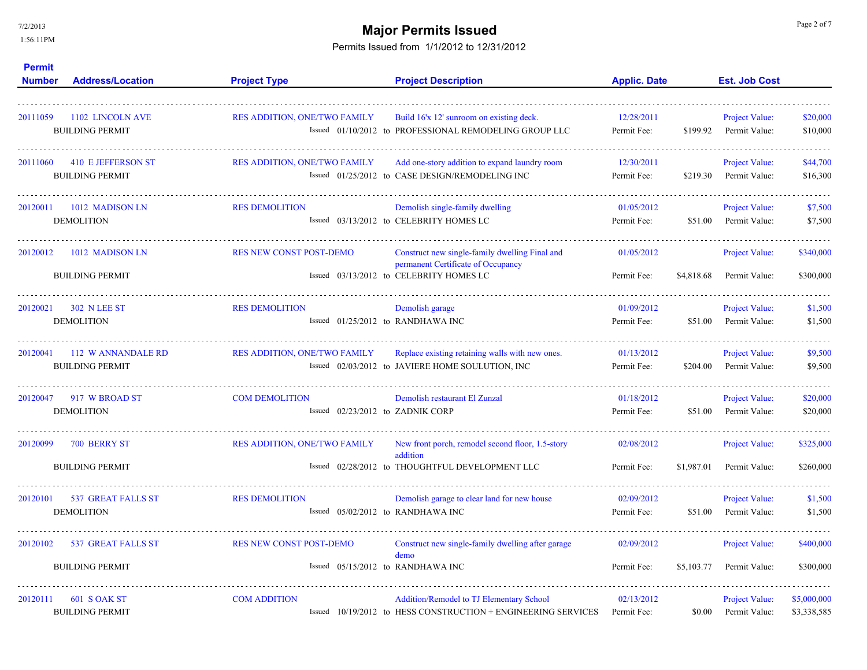7/2/2013

1:56:11PM

# **Major Permits Issued Major Permits Issued**

| <b>Permit</b><br><b>Number</b> | <b>Address/Location</b>                             | <b>Project Type</b>                                       | <b>Project Description</b>                                                                                                      | <b>Applic. Date</b>       | <b>Est. Job Cost</b>                                 |                            |
|--------------------------------|-----------------------------------------------------|-----------------------------------------------------------|---------------------------------------------------------------------------------------------------------------------------------|---------------------------|------------------------------------------------------|----------------------------|
| 20111059                       | 1102 LINCOLN AVE<br><b>BUILDING PERMIT</b>          | <b>RES ADDITION, ONE/TWO FAMILY</b>                       | Build 16'x 12' sunroom on existing deck.<br>Issued 01/10/2012 to PROFESSIONAL REMODELING GROUP LLC                              | 12/28/2011<br>Permit Fee: | <b>Project Value:</b><br>\$199.92<br>Permit Value:   | \$20,000<br>\$10,000       |
| 20111060                       | 410 E JEFFERSON ST<br><b>BUILDING PERMIT</b>        | <b>RES ADDITION, ONE/TWO FAMILY</b>                       | Add one-story addition to expand laundry room<br>Issued 01/25/2012 to CASE DESIGN/REMODELING INC                                | 12/30/2011<br>Permit Fee: | <b>Project Value:</b><br>Permit Value:<br>\$219.30   | \$44,700<br>\$16,300       |
| 20120011                       | 1012 MADISON LN<br><b>DEMOLITION</b>                | <b>RES DEMOLITION</b>                                     | Demolish single-family dwelling<br>Issued 03/13/2012 to CELEBRITY HOMES LC                                                      | 01/05/2012<br>Permit Fee: | <b>Project Value:</b><br>\$51.00<br>Permit Value:    | \$7,500<br>\$7,500         |
| 20120012                       | 1012 MADISON LN<br><b>BUILDING PERMIT</b>           | <b>RES NEW CONST POST-DEMO</b>                            | Construct new single-family dwelling Final and<br>permanent Certificate of Occupancy<br>Issued 03/13/2012 to CELEBRITY HOMES LC | 01/05/2012<br>Permit Fee: | Project Value:<br>\$4,818.68<br>Permit Value:        | \$340,000<br>\$300,000     |
| 20120021                       | 302 N LEE ST<br><b>DEMOLITION</b>                   | <b>RES DEMOLITION</b>                                     | Demolish garage<br>Issued 01/25/2012 to RANDHAWA INC                                                                            | 01/09/2012<br>Permit Fee: | Project Value:<br>Permit Value:<br>\$51.00           | \$1,500<br>\$1,500         |
| 20120041                       | 112 W ANNANDALE RD<br><b>BUILDING PERMIT</b>        | <b>RES ADDITION, ONE/TWO FAMILY</b>                       | Replace existing retaining walls with new ones.<br>Issued 02/03/2012 to JAVIERE HOME SOULUTION, INC                             | 01/13/2012<br>Permit Fee: | Project Value:<br>\$204.00<br>Permit Value:          | \$9,500<br>\$9,500         |
| 20120047                       | 917 W BROAD ST<br><b>DEMOLITION</b>                 | <b>COM DEMOLITION</b><br>Issued 02/23/2012 to ZADNIK CORP | Demolish restaurant El Zunzal                                                                                                   | 01/18/2012<br>Permit Fee: | Project Value:<br>\$51.00<br>Permit Value:           | \$20,000<br>\$20,000       |
| 20120099                       | 700 BERRY ST<br><b>BUILDING PERMIT</b>              | <b>RES ADDITION, ONE/TWO FAMILY</b>                       | New front porch, remodel second floor, 1.5-story<br>addition<br>Issued 02/28/2012 to THOUGHTFUL DEVELOPMENT LLC                 | 02/08/2012<br>Permit Fee: | <b>Project Value:</b><br>\$1,987.01<br>Permit Value: | \$325,000<br>\$260,000     |
| 20120101                       | <b>537 GREAT FALLS ST</b><br><b>DEMOLITION</b>      | <b>RES DEMOLITION</b>                                     | Demolish garage to clear land for new house<br>Issued 05/02/2012 to RANDHAWA INC                                                | 02/09/2012<br>Permit Fee: | Project Value:<br>\$51.00<br>Permit Value:           | \$1,500<br>\$1,500         |
| 20120102                       | <b>537 GREAT FALLS ST</b><br><b>BUILDING PERMIT</b> | <b>RES NEW CONST POST-DEMO</b>                            | Construct new single-family dwelling after garage<br>demo<br>Issued 05/15/2012 to RANDHAWA INC                                  | 02/09/2012<br>Permit Fee: | <b>Project Value:</b><br>Permit Value:<br>\$5,103.77 | \$400,000<br>\$300,000     |
| 20120111                       | 601 S OAK ST<br><b>BUILDING PERMIT</b>              | <b>COM ADDITION</b>                                       | Addition/Remodel to TJ Elementary School<br>Issued 10/19/2012 to HESS CONSTRUCTION + ENGINEERING SERVICES                       | 02/13/2012<br>Permit Fee: | Project Value:<br>\$0.00<br>Permit Value:            | \$5,000,000<br>\$3,338,585 |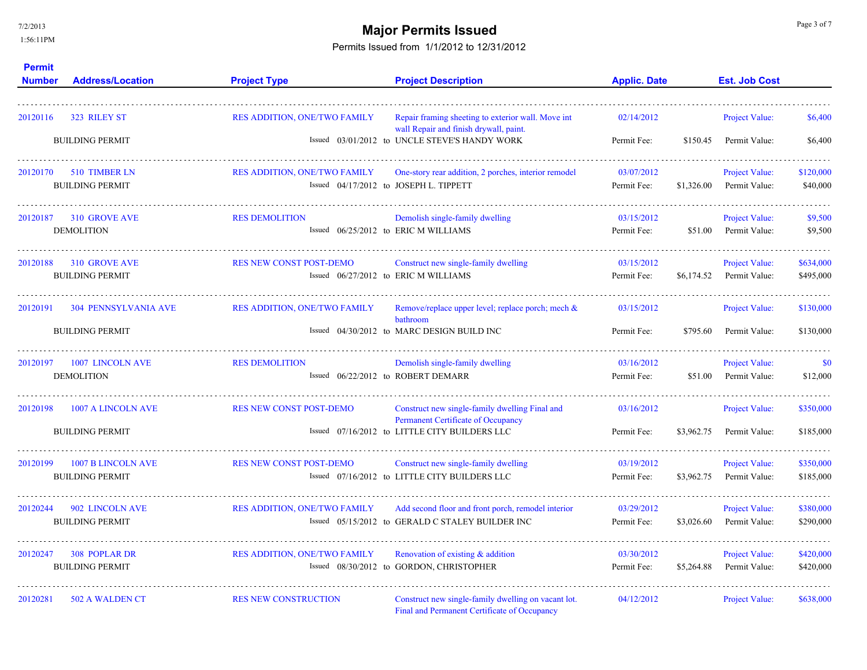### **Major Permits Issued Major Permits Issued**

| <b>Permit</b><br><b>Number</b> | <b>Address/Location</b>                               | <b>Project Type</b>                                         | <b>Project Description</b>                                                                                                            | <b>Applic. Date</b>       | <b>Est. Job Cost</b>                                 |                        |
|--------------------------------|-------------------------------------------------------|-------------------------------------------------------------|---------------------------------------------------------------------------------------------------------------------------------------|---------------------------|------------------------------------------------------|------------------------|
| 20120116                       | 323 RILEY ST                                          | RES ADDITION, ONE/TWO FAMILY                                | Repair framing sheeting to exterior wall. Move int<br>wall Repair and finish drywall, paint.                                          | 02/14/2012                | <b>Project Value:</b>                                | \$6,400                |
|                                | <b>BUILDING PERMIT</b>                                |                                                             | Issued 03/01/2012 to UNCLE STEVE'S HANDY WORK                                                                                         | Permit Fee:               | \$150.45<br>Permit Value:                            | \$6,400                |
| 20120170                       | 510 TIMBER LN<br><b>BUILDING PERMIT</b>               | <b>RES ADDITION, ONE/TWO FAMILY</b>                         | One-story rear addition, 2 porches, interior remodel<br>Issued 04/17/2012 to JOSEPH L. TIPPETT                                        | 03/07/2012<br>Permit Fee: | <b>Project Value:</b><br>\$1,326.00<br>Permit Value: | \$120,000<br>\$40,000  |
| 20120187                       | 310 GROVE AVE<br><b>DEMOLITION</b>                    | <b>RES DEMOLITION</b>                                       | Demolish single-family dwelling<br>Issued 06/25/2012 to ERIC M WILLIAMS                                                               | 03/15/2012<br>Permit Fee: | <b>Project Value:</b><br>\$51.00<br>Permit Value:    | \$9,500<br>\$9,500     |
| 20120188                       | 310 GROVE AVE<br><b>BUILDING PERMIT</b>               | <b>RES NEW CONST POST-DEMO</b>                              | Construct new single-family dwelling<br>Issued 06/27/2012 to ERIC M WILLIAMS                                                          | 03/15/2012<br>Permit Fee: | Project Value:<br>\$6,174.52<br>Permit Value:        | \$634,000<br>\$495,000 |
| 20120191                       | <b>304 PENNSYLVANIA AVE</b><br><b>BUILDING PERMIT</b> | <b>RES ADDITION, ONE/TWO FAMILY</b>                         | Remove/replace upper level; replace porch; mech &<br>bathroom<br>Issued 04/30/2012 to MARC DESIGN BUILD INC                           | 03/15/2012<br>Permit Fee: | <b>Project Value:</b><br>\$795.60<br>Permit Value:   | \$130,000<br>\$130,000 |
| 20120197                       | 1007 LINCOLN AVE<br><b>DEMOLITION</b>                 | <b>RES DEMOLITION</b><br>Issued 06/22/2012 to ROBERT DEMARR | Demolish single-family dwelling                                                                                                       | 03/16/2012<br>Permit Fee: | <b>Project Value:</b><br>\$51.00<br>Permit Value:    | <b>SO</b><br>\$12,000  |
| 20120198                       | 1007 A LINCOLN AVE<br><b>BUILDING PERMIT</b>          | <b>RES NEW CONST POST-DEMO</b>                              | Construct new single-family dwelling Final and<br>Permanent Certificate of Occupancy<br>Issued 07/16/2012 to LITTLE CITY BUILDERS LLC | 03/16/2012<br>Permit Fee: | Project Value:<br>\$3,962.75<br>Permit Value:        | \$350,000<br>\$185,000 |
| 20120199                       | 1007 B LINCOLN AVE<br><b>BUILDING PERMIT</b>          | <b>RES NEW CONST POST-DEMO</b>                              | Construct new single-family dwelling<br>Issued 07/16/2012 to LITTLE CITY BUILDERS LLC                                                 | 03/19/2012<br>Permit Fee: | Project Value:<br>\$3,962.75<br>Permit Value:        | \$350,000<br>\$185,000 |
| 20120244                       | 902 LINCOLN AVE<br><b>BUILDING PERMIT</b>             | <b>RES ADDITION, ONE/TWO FAMILY</b>                         | Add second floor and front porch, remodel interior<br>Issued 05/15/2012 to GERALD C STALEY BUILDER INC                                | 03/29/2012<br>Permit Fee: | Project Value:<br>\$3,026.60<br>Permit Value:        | \$380,000<br>\$290,000 |
| 20120247                       | <b>308 POPLAR DR</b><br><b>BUILDING PERMIT</b>        | RES ADDITION, ONE/TWO FAMILY                                | Renovation of existing & addition<br>Issued 08/30/2012 to GORDON, CHRISTOPHER                                                         | 03/30/2012<br>Permit Fee: | Project Value:<br>\$5,264.88<br>Permit Value:        | \$420,000<br>\$420,000 |
| 20120281                       | 502 A WALDEN CT                                       | <b>RES NEW CONSTRUCTION</b>                                 | Construct new single-family dwelling on vacant lot.<br>Final and Permanent Certificate of Occupancy                                   | 04/12/2012                | <b>Project Value:</b>                                | \$638,000              |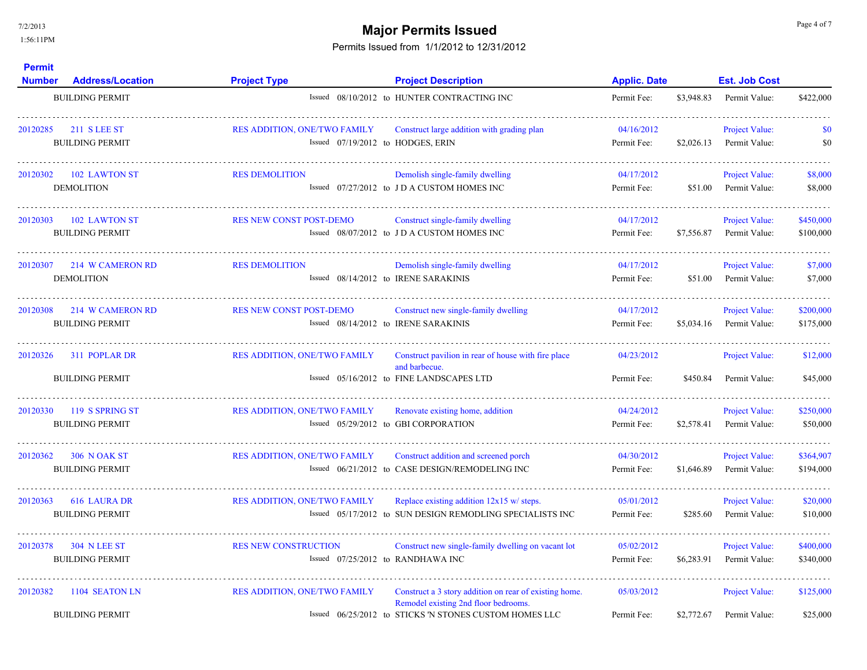## **Major Permits Issued Major Permits Issued**

| <b>Permit</b><br><b>Number</b> | <b>Address/Location</b>                       | <b>Project Type</b>                                               | <b>Project Description</b>                                                                                                                               | <b>Applic. Date</b>       |            | <b>Est. Job Cost</b>                   |                        |
|--------------------------------|-----------------------------------------------|-------------------------------------------------------------------|----------------------------------------------------------------------------------------------------------------------------------------------------------|---------------------------|------------|----------------------------------------|------------------------|
|                                | <b>BUILDING PERMIT</b>                        |                                                                   | Issued 08/10/2012 to HUNTER CONTRACTING INC                                                                                                              | Permit Fee:               | \$3,948.83 | Permit Value:                          | \$422,000              |
| 20120285                       | 211 S LEE ST<br><b>BUILDING PERMIT</b>        | RES ADDITION. ONE/TWO FAMILY<br>Issued 07/19/2012 to HODGES, ERIN | Construct large addition with grading plan                                                                                                               | 04/16/2012<br>Permit Fee: | \$2,026.13 | Project Value:<br>Permit Value:        | \$0<br>\$0             |
| 20120302                       | 102 LAWTON ST<br><b>DEMOLITION</b>            | <b>RES DEMOLITION</b>                                             | Demolish single-family dwelling<br>Issued 07/27/2012 to JD A CUSTOM HOMES INC                                                                            | 04/17/2012<br>Permit Fee: | \$51.00    | Project Value:<br>Permit Value:        | \$8,000<br>\$8,000     |
| 20120303                       | 102 LAWTON ST<br><b>BUILDING PERMIT</b>       | RES NEW CONST POST-DEMO                                           | Construct single-family dwelling<br>Issued 08/07/2012 to JD A CUSTOM HOMES INC                                                                           | 04/17/2012<br>Permit Fee: | \$7,556.87 | <b>Project Value:</b><br>Permit Value: | \$450,000<br>\$100,000 |
| 20120307                       | 214 W CAMERON RD<br><b>DEMOLITION</b>         | <b>RES DEMOLITION</b><br>Issued 08/14/2012 to IRENE SARAKINIS     | Demolish single-family dwelling                                                                                                                          | 04/17/2012<br>Permit Fee: | \$51.00    | Project Value:<br>Permit Value:        | \$7,000<br>\$7,000     |
| 20120308                       | 214 W CAMERON RD<br><b>BUILDING PERMIT</b>    | RES NEW CONST POST-DEMO<br>Issued 08/14/2012 to IRENE SARAKINIS   | Construct new single-family dwelling                                                                                                                     | 04/17/2012<br>Permit Fee: | \$5,034.16 | <b>Project Value:</b><br>Permit Value: | \$200,000<br>\$175,000 |
| 20120326                       | 311 POPLAR DR<br><b>BUILDING PERMIT</b>       | <b>RES ADDITION, ONE/TWO FAMILY</b>                               | Construct pavilion in rear of house with fire place<br>and barbecue.<br>Issued 05/16/2012 to FINE LANDSCAPES LTD                                         | 04/23/2012<br>Permit Fee: | \$450.84   | Project Value:<br>Permit Value:        | \$12,000<br>\$45,000   |
| 20120330                       | 119 S SPRING ST<br><b>BUILDING PERMIT</b>     | <b>RES ADDITION, ONE/TWO FAMILY</b>                               | Renovate existing home, addition<br>Issued 05/29/2012 to GBI CORPORATION                                                                                 | 04/24/2012<br>Permit Fee: | \$2,578.41 | Project Value:<br>Permit Value:        | \$250,000<br>\$50,000  |
| 20120362                       | <b>306 NOAK ST</b><br><b>BUILDING PERMIT</b>  | <b>RES ADDITION, ONE/TWO FAMILY</b>                               | Construct addition and screened porch<br>Issued 06/21/2012 to CASE DESIGN/REMODELING INC                                                                 | 04/30/2012<br>Permit Fee: | \$1,646.89 | Project Value:<br>Permit Value:        | \$364,907<br>\$194,000 |
| 20120363                       | 616 LAURA DR<br><b>BUILDING PERMIT</b>        | <b>RES ADDITION, ONE/TWO FAMILY</b>                               | Replace existing addition 12x15 w/ steps.<br>Issued 05/17/2012 to SUN DESIGN REMODLING SPECIALISTS INC                                                   | 05/01/2012<br>Permit Fee: | \$285.60   | Project Value:<br>Permit Value:        | \$20,000<br>\$10,000   |
| 20120378                       | <b>304 N LEE ST</b><br><b>BUILDING PERMIT</b> | <b>RES NEW CONSTRUCTION</b><br>Issued 07/25/2012 to RANDHAWA INC  | Construct new single-family dwelling on vacant lot                                                                                                       | 05/02/2012<br>Permit Fee: | \$6,283.91 | Project Value:<br>Permit Value:        | \$400,000<br>\$340,000 |
| 20120382                       | 1104 SEATON LN<br><b>BUILDING PERMIT</b>      | <b>RES ADDITION, ONE/TWO FAMILY</b>                               | Construct a 3 story addition on rear of existing home.<br>Remodel existing 2nd floor bedrooms.<br>Issued 06/25/2012 to STICKS 'N STONES CUSTOM HOMES LLC | 05/03/2012<br>Permit Fee: | \$2,772.67 | <b>Project Value:</b><br>Permit Value: | \$125,000<br>\$25,000  |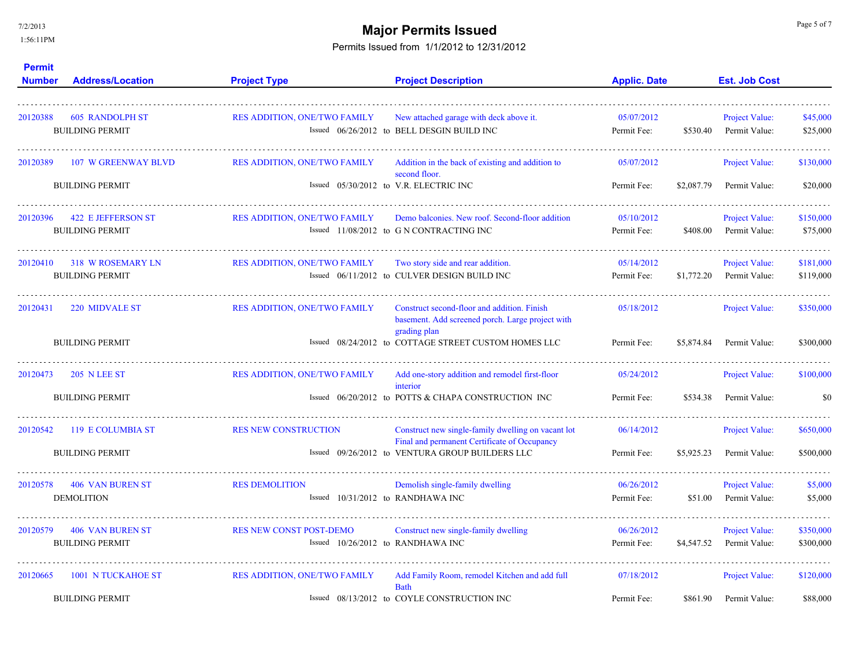7/2/2013

1:56:11PM

# **Major Permits Issued Major Permits Issued**

| <b>Permit</b><br><b>Number</b> | <b>Address/Location</b>                          | <b>Project Type</b>                 | <b>Project Description</b>                                                                                      | <b>Applic. Date</b>       |            | <b>Est. Job Cost</b>                   |                      |
|--------------------------------|--------------------------------------------------|-------------------------------------|-----------------------------------------------------------------------------------------------------------------|---------------------------|------------|----------------------------------------|----------------------|
| 20120388                       | <b>605 RANDOLPH ST</b><br><b>BUILDING PERMIT</b> | RES ADDITION, ONE/TWO FAMILY        | New attached garage with deck above it.<br>Issued 06/26/2012 to BELL DESGIN BUILD INC                           | 05/07/2012<br>Permit Fee: | \$530.40   | <b>Project Value:</b><br>Permit Value: | \$45,000<br>\$25,000 |
| 20120389                       | <b>107 W GREENWAY BLVD</b>                       | <b>RES ADDITION, ONE/TWO FAMILY</b> | Addition in the back of existing and addition to<br>second floor.                                               | 05/07/2012                |            | Project Value:                         | \$130,000            |
|                                | <b>BUILDING PERMIT</b>                           |                                     | Issued 05/30/2012 to V.R. ELECTRIC INC                                                                          | Permit Fee:               | \$2,087.79 | Permit Value:                          | \$20,000             |
| 20120396                       | <b>422 E JEFFERSON ST</b>                        | <b>RES ADDITION, ONE/TWO FAMILY</b> | Demo balconies. New roof. Second-floor addition                                                                 | 05/10/2012                |            | <b>Project Value:</b>                  | \$150,000            |
|                                | <b>BUILDING PERMIT</b>                           |                                     | Issued 11/08/2012 to G N CONTRACTING INC                                                                        | Permit Fee:               | \$408.00   | Permit Value:                          | \$75,000             |
| 20120410                       | <b>318 W ROSEMARY LN</b>                         | <b>RES ADDITION, ONE/TWO FAMILY</b> | Two story side and rear addition.                                                                               | 05/14/2012                |            | <b>Project Value:</b>                  | \$181,000            |
|                                | <b>BUILDING PERMIT</b>                           |                                     | Issued 06/11/2012 to CULVER DESIGN BUILD INC                                                                    | Permit Fee:               | \$1,772.20 | Permit Value:                          | \$119,000            |
| 20120431                       | 220 MIDVALE ST                                   | RES ADDITION, ONE/TWO FAMILY        | Construct second-floor and addition. Finish<br>basement. Add screened porch. Large project with<br>grading plan | 05/18/2012                |            | Project Value:                         | \$350,000            |
|                                | <b>BUILDING PERMIT</b>                           |                                     | Issued 08/24/2012 to COTTAGE STREET CUSTOM HOMES LLC                                                            | Permit Fee:               | \$5,874.84 | Permit Value:                          | \$300,000            |
| 20120473                       | <b>205 N LEE ST</b>                              | RES ADDITION, ONE/TWO FAMILY        | Add one-story addition and remodel first-floor<br>interior                                                      | 05/24/2012                |            | Project Value:                         | \$100,000            |
|                                | <b>BUILDING PERMIT</b>                           |                                     | Issued 06/20/2012 to POTTS & CHAPA CONSTRUCTION INC                                                             | Permit Fee:               | \$534.38   | Permit Value:                          | \$0                  |
| 20120542                       | 119 E COLUMBIA ST                                | <b>RES NEW CONSTRUCTION</b>         | Construct new single-family dwelling on vacant lot<br>Final and permanent Certificate of Occupancy              | 06/14/2012                |            | Project Value:                         | \$650,000            |
|                                | <b>BUILDING PERMIT</b>                           |                                     | Issued 09/26/2012 to VENTURA GROUP BUILDERS LLC                                                                 | Permit Fee:               | \$5,925.23 | Permit Value:                          | \$500,000            |
| 20120578                       | <b>406 VAN BUREN ST</b>                          | <b>RES DEMOLITION</b>               | Demolish single-family dwelling                                                                                 | 06/26/2012                |            | <b>Project Value:</b>                  | \$5,000              |
|                                | <b>DEMOLITION</b>                                | Issued 10/31/2012 to RANDHAWA INC   |                                                                                                                 | Permit Fee:               | \$51.00    | Permit Value:                          | \$5,000              |
| 20120579                       | <b>406 VAN BUREN ST</b>                          | <b>RES NEW CONST POST-DEMO</b>      | Construct new single-family dwelling                                                                            | 06/26/2012                |            | <b>Project Value:</b>                  | \$350,000            |
|                                | <b>BUILDING PERMIT</b>                           | Issued $10/26/2012$ to RANDHAWA INC |                                                                                                                 | Permit Fee:               | \$4,547.52 | Permit Value:                          | \$300,000            |
| 20120665                       | 1001 N TUCKAHOE ST                               | <b>RES ADDITION, ONE/TWO FAMILY</b> | Add Family Room, remodel Kitchen and add full<br><b>Bath</b>                                                    | 07/18/2012                |            | <b>Project Value:</b>                  | \$120,000            |
|                                | <b>BUILDING PERMIT</b>                           |                                     | Issued 08/13/2012 to COYLE CONSTRUCTION INC                                                                     | Permit Fee:               | \$861.90   | Permit Value:                          | \$88,000             |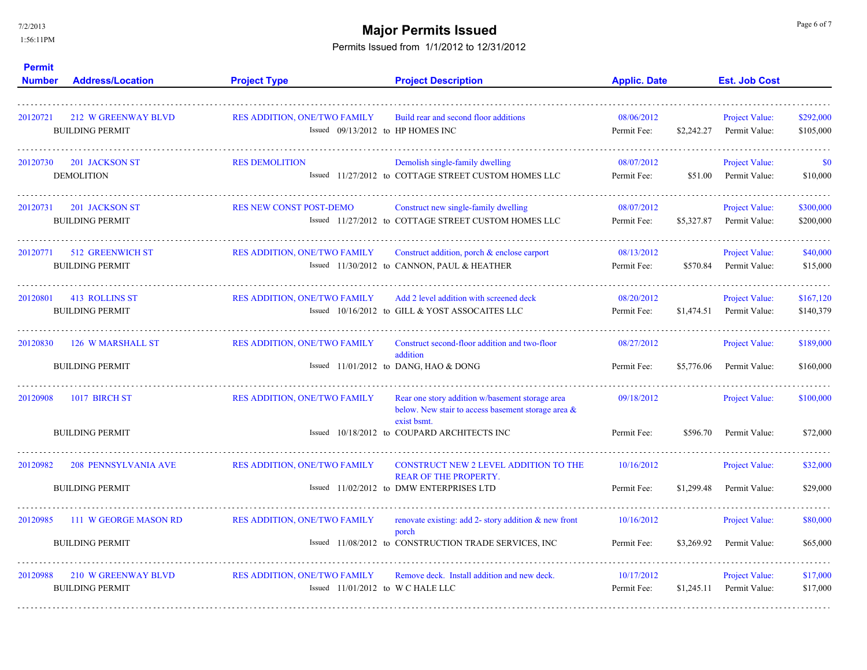7/2/2013

1:56:11PM

# **Major Permits Issued Major Permits Issued**

| <b>Permit</b><br><b>Number</b> | <b>Address/Location</b>                              | <b>Project Type</b>                                                       | <b>Project Description</b>                                                                                              | <b>Applic. Date</b>       | <b>Est. Job Cost</b>                          |                        |
|--------------------------------|------------------------------------------------------|---------------------------------------------------------------------------|-------------------------------------------------------------------------------------------------------------------------|---------------------------|-----------------------------------------------|------------------------|
| 20120721                       | <b>212 W GREENWAY BLVD</b><br><b>BUILDING PERMIT</b> | <b>RES ADDITION, ONE/TWO FAMILY</b><br>Issued 09/13/2012 to HP HOMES INC  | Build rear and second floor additions                                                                                   | 08/06/2012<br>Permit Fee: | Project Value:<br>\$2,242.27<br>Permit Value: | \$292,000<br>\$105,000 |
| 20120730                       | 201 JACKSON ST<br><b>DEMOLITION</b>                  | <b>RES DEMOLITION</b>                                                     | Demolish single-family dwelling<br>Issued 11/27/2012 to COTTAGE STREET CUSTOM HOMES LLC                                 | 08/07/2012<br>Permit Fee: | Project Value:<br>\$51.00<br>Permit Value:    | -\$0<br>\$10,000       |
| 20120731                       | <b>201 JACKSON ST</b><br><b>BUILDING PERMIT</b>      | <b>RES NEW CONST POST-DEMO</b>                                            | Construct new single-family dwelling<br>Issued 11/27/2012 to COTTAGE STREET CUSTOM HOMES LLC                            | 08/07/2012<br>Permit Fee: | Project Value:<br>\$5,327.87<br>Permit Value: | \$300,000<br>\$200,000 |
| 20120771                       | 512 GREENWICH ST<br><b>BUILDING PERMIT</b>           | <b>RES ADDITION, ONE/TWO FAMILY</b>                                       | Construct addition, porch & enclose carport<br>Issued 11/30/2012 to CANNON, PAUL & HEATHER                              | 08/13/2012<br>Permit Fee: | Project Value:<br>\$570.84<br>Permit Value:   | \$40,000<br>\$15,000   |
| 20120801                       | 413 ROLLINS ST<br><b>BUILDING PERMIT</b>             | <b>RES ADDITION, ONE/TWO FAMILY</b>                                       | Add 2 level addition with screened deck<br>Issued 10/16/2012 to GILL & YOST ASSOCAITES LLC                              | 08/20/2012<br>Permit Fee: | Project Value:<br>\$1,474.51<br>Permit Value: | \$167,120<br>\$140,379 |
| 20120830                       | 126 W MARSHALL ST                                    | <b>RES ADDITION, ONE/TWO FAMILY</b>                                       | Construct second-floor addition and two-floor<br>addition                                                               | 08/27/2012                | <b>Project Value:</b>                         | \$189,000              |
|                                | <b>BUILDING PERMIT</b>                               |                                                                           | Issued 11/01/2012 to DANG, HAO & DONG                                                                                   | Permit Fee:               | \$5,776.06<br>Permit Value:                   | \$160,000              |
| 20120908                       | 1017 BIRCH ST                                        | RES ADDITION, ONE/TWO FAMILY                                              | Rear one story addition w/basement storage area<br>below. New stair to access basement storage area $\&$<br>exist bsmt. | 09/18/2012                | <b>Project Value:</b>                         | \$100,000              |
|                                | <b>BUILDING PERMIT</b>                               |                                                                           | Issued 10/18/2012 to COUPARD ARCHITECTS INC                                                                             | Permit Fee:               | \$596.70<br>Permit Value:                     | \$72,000               |
| 20120982                       | 208 PENNSYLVANIA AVE                                 | <b>RES ADDITION, ONE/TWO FAMILY</b>                                       | <b>CONSTRUCT NEW 2 LEVEL ADDITION TO THE</b><br><b>REAR OF THE PROPERTY.</b>                                            | 10/16/2012                | Project Value:                                | \$32,000               |
|                                | <b>BUILDING PERMIT</b>                               |                                                                           | Issued 11/02/2012 to DMW ENTERPRISES LTD                                                                                | Permit Fee:               | \$1,299.48<br>Permit Value:                   | \$29,000               |
| 20120985                       | 111 W GEORGE MASON RD                                | <b>RES ADDITION, ONE/TWO FAMILY</b>                                       | renovate existing: add 2- story addition $\&$ new front<br>porch                                                        | 10/16/2012                | Project Value:                                | \$80,000               |
|                                | <b>BUILDING PERMIT</b>                               |                                                                           | Issued 11/08/2012 to CONSTRUCTION TRADE SERVICES, INC                                                                   | Permit Fee:               | Permit Value:<br>\$3,269.92                   | \$65,000               |
| 20120988                       | 210 W GREENWAY BLVD<br><b>BUILDING PERMIT</b>        | <b>RES ADDITION, ONE/TWO FAMILY</b><br>Issued $11/01/2012$ to WC HALE LLC | Remove deck. Install addition and new deck.                                                                             | 10/17/2012<br>Permit Fee: | Project Value:<br>\$1,245.11<br>Permit Value: | \$17,000<br>\$17,000   |